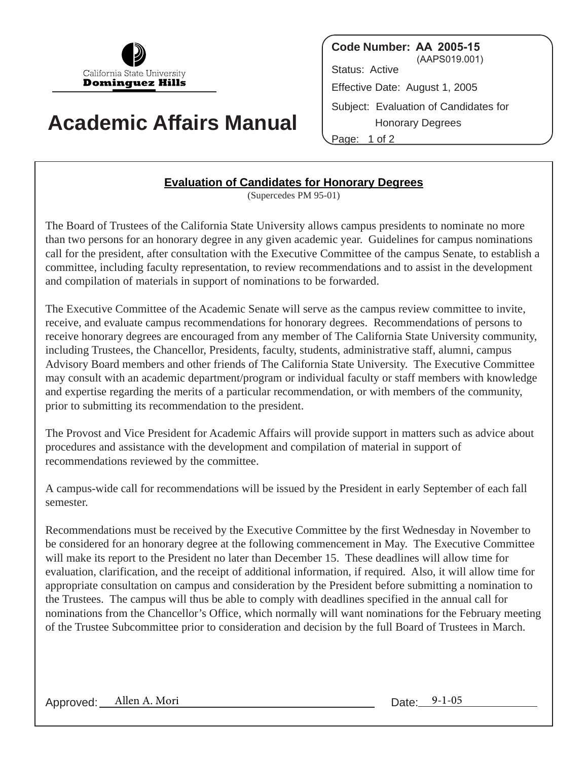

## **Academic Affairs Manual**

**Code Number: AA 2005-15** (AAPS019.001) Status: Active Effective Date: August 1, 2005 Subject: Evaluation of Candidates for Honorary Degrees

Page: 1 of 2

## **Evaluation of Candidates for Honorary Degrees**

(Supercedes PM 95-01)

The Board of Trustees of the California State University allows campus presidents to nominate no more than two persons for an honorary degree in any given academic year. Guidelines for campus nominations call for the president, after consultation with the Executive Committee of the campus Senate, to establish a committee, including faculty representation, to review recommendations and to assist in the development and compilation of materials in support of nominations to be forwarded.

The Executive Committee of the Academic Senate will serve as the campus review committee to invite, receive, and evaluate campus recommendations for honorary degrees. Recommendations of persons to receive honorary degrees are encouraged from any member of The California State University community, including Trustees, the Chancellor, Presidents, faculty, students, administrative staff, alumni, campus Advisory Board members and other friends of The California State University. The Executive Committee may consult with an academic department/program or individual faculty or staff members with knowledge and expertise regarding the merits of a particular recommendation, or with members of the community, prior to submitting its recommendation to the president.

The Provost and Vice President for Academic Affairs will provide support in matters such as advice about procedures and assistance with the development and compilation of material in support of recommendations reviewed by the committee.

A campus-wide call for recommendations will be issued by the President in early September of each fall semester.

Recommendations must be received by the Executive Committee by the first Wednesday in November to be considered for an honorary degree at the following commencement in May. The Executive Committee will make its report to the President no later than December 15. These deadlines will allow time for evaluation, clarification, and the receipt of additional information, if required. Also, it will allow time for appropriate consultation on campus and consideration by the President before submitting a nomination to the Trustees. The campus will thus be able to comply with deadlines specified in the annual call for nominations from the Chancellor's Office, which normally will want nominations for the February meeting of the Trustee Subcommittee prior to consideration and decision by the full Board of Trustees in March.

Approved: Allen A. Mori Date: 9-1-05